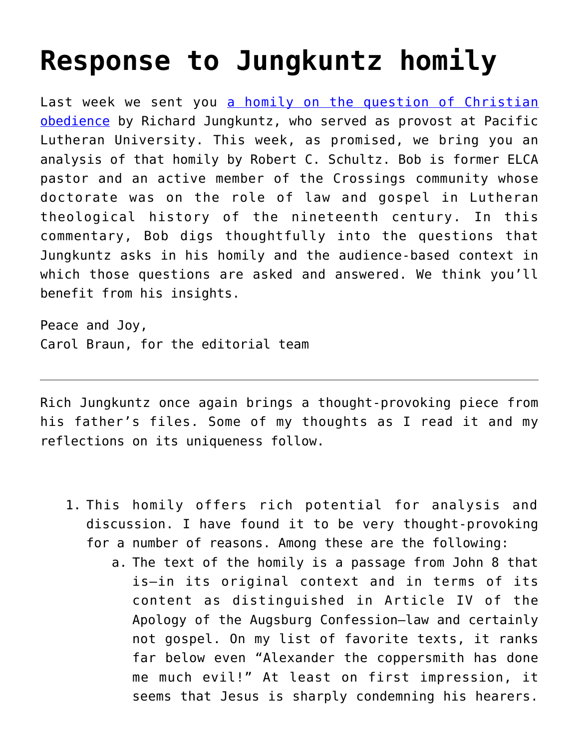## **[Response to Jungkuntz homily](https://crossings.org/response-to-jungkuntz-homily/)**

Last week we sent you [a homily on the question of Christian](https://crossings.org/thursday/2014/thur062614.shtml) [obedience](https://crossings.org/thursday/2014/thur062614.shtml) by Richard Jungkuntz, who served as provost at Pacific Lutheran University. This week, as promised, we bring you an analysis of that homily by Robert C. Schultz. Bob is former ELCA pastor and an active member of the Crossings community whose doctorate was on the role of law and gospel in Lutheran theological history of the nineteenth century. In this commentary, Bob digs thoughtfully into the questions that Jungkuntz asks in his homily and the audience-based context in which those questions are asked and answered. We think you'll benefit from his insights.

Peace and Joy, Carol Braun, for the editorial team

Rich Jungkuntz once again brings a thought-provoking piece from his father's files. Some of my thoughts as I read it and my reflections on its uniqueness follow.

- 1. This homily offers rich potential for analysis and discussion. I have found it to be very thought-provoking for a number of reasons. Among these are the following:
	- a. The text of the homily is a passage from John 8 that is—in its original context and in terms of its content as distinguished in Article IV of the Apology of the Augsburg Confession—law and certainly not gospel. On my list of favorite texts, it ranks far below even "Alexander the coppersmith has done me much evil!" At least on first impression, it seems that Jesus is sharply condemning his hearers.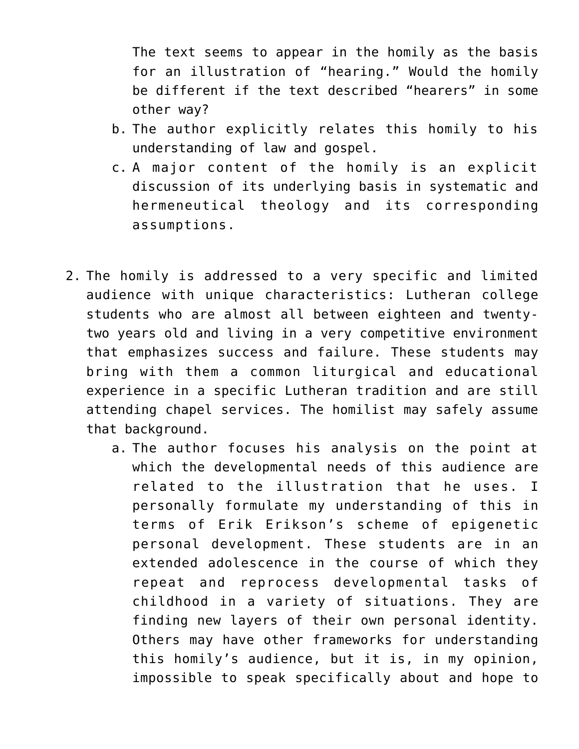The text seems to appear in the homily as the basis for an illustration of "hearing." Would the homily be different if the text described "hearers" in some other way?

- b. The author explicitly relates this homily to his understanding of law and gospel.
- c. A major content of the homily is an explicit discussion of its underlying basis in systematic and hermeneutical theology and its corresponding assumptions.
- 2. The homily is addressed to a very specific and limited audience with unique characteristics: Lutheran college students who are almost all between eighteen and twentytwo years old and living in a very competitive environment that emphasizes success and failure. These students may bring with them a common liturgical and educational experience in a specific Lutheran tradition and are still attending chapel services. The homilist may safely assume that background.
	- a. The author focuses his analysis on the point at which the developmental needs of this audience are related to the illustration that he uses. I personally formulate my understanding of this in terms of Erik Erikson's scheme of epigenetic personal development. These students are in an extended adolescence in the course of which they repeat and reprocess developmental tasks of childhood in a variety of situations. They are finding new layers of their own personal identity. Others may have other frameworks for understanding this homily's audience, but it is, in my opinion, impossible to speak specifically about and hope to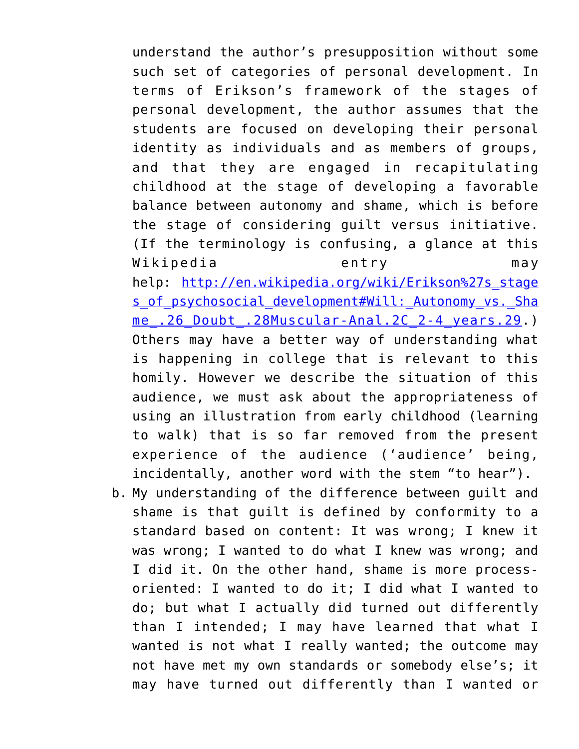understand the author's presupposition without some such set of categories of personal development. In terms of Erikson's framework of the stages of personal development, the author assumes that the students are focused on developing their personal identity as individuals and as members of groups, and that they are engaged in recapitulating childhood at the stage of developing a favorable balance between autonomy and shame, which is before the stage of considering guilt versus initiative. (If the terminology is confusing, a glance at this Wikipedia entry may help: [http://en.wikipedia.org/wiki/Erikson%27s\\_stage](http://en.wikipedia.org/wiki/Erikson%27s_stages_of_psychosocial_development#Will:_Autonomy_vs._Shame_.26_Doubt_.28Muscular-Anal.2C_2-4_years.29) s of psychosocial development#Will: Autonomy vs. Sha me. 26 Doubt. 28Muscular-Anal.2C 2-4 years.29.) Others may have a better way of understanding what is happening in college that is relevant to this homily. However we describe the situation of this audience, we must ask about the appropriateness of using an illustration from early childhood (learning to walk) that is so far removed from the present experience of the audience ('audience' being, incidentally, another word with the stem "to hear").

b. My understanding of the difference between guilt and shame is that guilt is defined by conformity to a standard based on content: It was wrong; I knew it was wrong; I wanted to do what I knew was wrong; and I did it. On the other hand, shame is more processoriented: I wanted to do it; I did what I wanted to do; but what I actually did turned out differently than I intended; I may have learned that what I wanted is not what I really wanted; the outcome may not have met my own standards or somebody else's; it may have turned out differently than I wanted or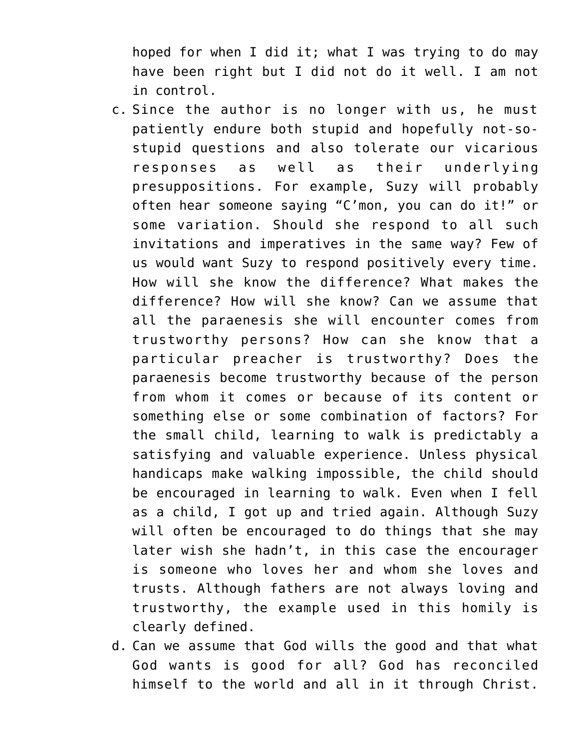hoped for when I did it; what I was trying to do may have been right but I did not do it well. I am not in control.

- c. Since the author is no longer with us, he must patiently endure both stupid and hopefully not-sostupid questions and also tolerate our vicarious responses as well as their underlying presuppositions. For example, Suzy will probably often hear someone saying "C'mon, you can do it!" or some variation. Should she respond to all such invitations and imperatives in the same way? Few of us would want Suzy to respond positively every time. How will she know the difference? What makes the difference? How will she know? Can we assume that all the paraenesis she will encounter comes from trustworthy persons? How can she know that a particular preacher is trustworthy? Does the paraenesis become trustworthy because of the person from whom it comes or because of its content or something else or some combination of factors? For the small child, learning to walk is predictably a satisfying and valuable experience. Unless physical handicaps make walking impossible, the child should be encouraged in learning to walk. Even when I fell as a child, I got up and tried again. Although Suzy will often be encouraged to do things that she may later wish she hadn't, in this case the encourager is someone who loves her and whom she loves and trusts. Although fathers are not always loving and trustworthy, the example used in this homily is clearly defined.
- d. Can we assume that God wills the good and that what God wants is good for all? God has reconciled himself to the world and all in it through Christ.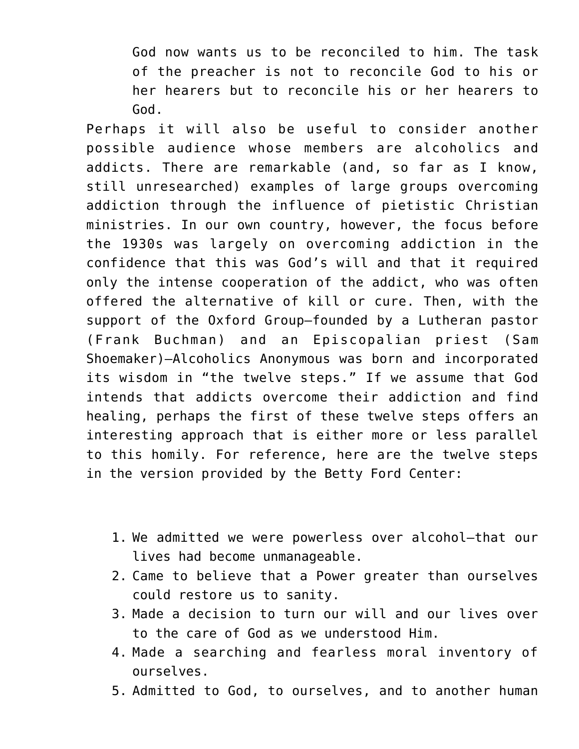God now wants us to be reconciled to him. The task of the preacher is not to reconcile God to his or her hearers but to reconcile his or her hearers to God.

Perhaps it will also be useful to consider another possible audience whose members are alcoholics and addicts. There are remarkable (and, so far as I know, still unresearched) examples of large groups overcoming addiction through the influence of pietistic Christian ministries. In our own country, however, the focus before the 1930s was largely on overcoming addiction in the confidence that this was God's will and that it required only the intense cooperation of the addict, who was often offered the alternative of kill or cure. Then, with the support of the Oxford Group—founded by a Lutheran pastor (Frank Buchman) and an Episcopalian priest (Sam Shoemaker)—Alcoholics Anonymous was born and incorporated its wisdom in "the twelve steps." If we assume that God intends that addicts overcome their addiction and find healing, perhaps the first of these twelve steps offers an interesting approach that is either more or less parallel to this homily. For reference, here are the twelve steps in the version provided by the Betty Ford Center:

- 1. We admitted we were powerless over alcohol—that our lives had become unmanageable.
- 2. Came to believe that a Power greater than ourselves could restore us to sanity.
- 3. Made a decision to turn our will and our lives over to the care of God as we understood Him.
- 4. Made a searching and fearless moral inventory of ourselves.
- 5. Admitted to God, to ourselves, and to another human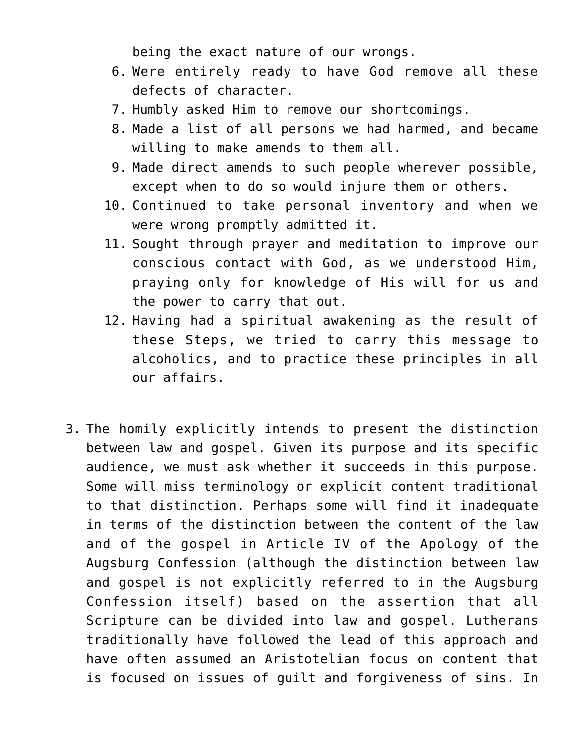being the exact nature of our wrongs.

- 6. Were entirely ready to have God remove all these defects of character.
- 7. Humbly asked Him to remove our shortcomings.
- 8. Made a list of all persons we had harmed, and became willing to make amends to them all.
- 9. Made direct amends to such people wherever possible, except when to do so would injure them or others.
- 10. Continued to take personal inventory and when we were wrong promptly admitted it.
- 11. Sought through prayer and meditation to improve our conscious contact with God, as we understood Him, praying only for knowledge of His will for us and the power to carry that out.
- 12. Having had a spiritual awakening as the result of these Steps, we tried to carry this message to alcoholics, and to practice these principles in all our affairs.
- 3. The homily explicitly intends to present the distinction between law and gospel. Given its purpose and its specific audience, we must ask whether it succeeds in this purpose. Some will miss terminology or explicit content traditional to that distinction. Perhaps some will find it inadequate in terms of the distinction between the content of the law and of the gospel in Article IV of the Apology of the Augsburg Confession (although the distinction between law and gospel is not explicitly referred to in the Augsburg Confession itself) based on the assertion that all Scripture can be divided into law and gospel. Lutherans traditionally have followed the lead of this approach and have often assumed an Aristotelian focus on content that is focused on issues of guilt and forgiveness of sins. In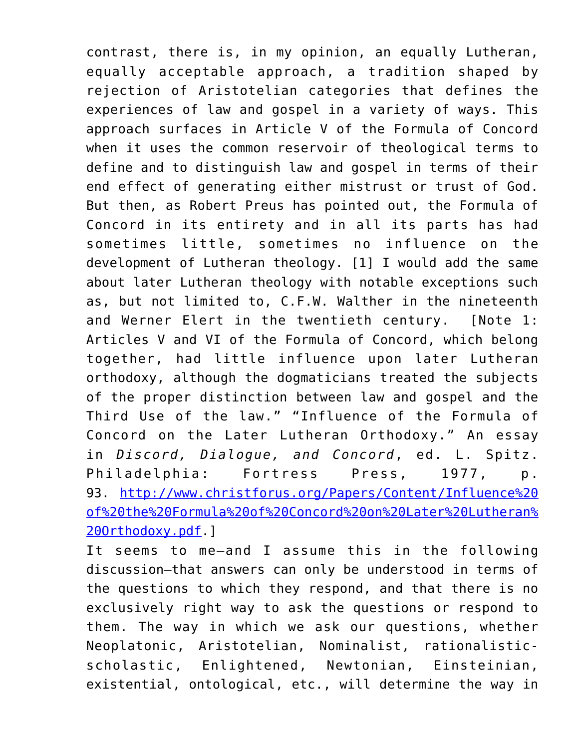contrast, there is, in my opinion, an equally Lutheran, equally acceptable approach, a tradition shaped by rejection of Aristotelian categories that defines the experiences of law and gospel in a variety of ways. This approach surfaces in Article V of the Formula of Concord when it uses the common reservoir of theological terms to define and to distinguish law and gospel in terms of their end effect of generating either mistrust or trust of God. But then, as Robert Preus has pointed out, the Formula of Concord in its entirety and in all its parts has had sometimes little, sometimes no influence on the development of Lutheran theology. [1] I would add the same about later Lutheran theology with notable exceptions such as, but not limited to, C.F.W. Walther in the nineteenth and Werner Elert in the twentieth century. [Note 1: Articles V and VI of the Formula of Concord, which belong together, had little influence upon later Lutheran orthodoxy, although the dogmaticians treated the subjects of the proper distinction between law and gospel and the Third Use of the law." "Influence of the Formula of Concord on the Later Lutheran Orthodoxy." An essay in *Discord, Dialogue, and Concord*, ed. L. Spitz. Philadelphia: Fortress Press, 1977, p. 93. [http://www.christforus.org/Papers/Content/Influence%20](http://www.christforus.org/Papers/Content/Influence%20of%20the%20Formula%20of%20Concord%20on%20Later%20Lutheran%20Orthodoxy.pdf) [of%20the%20Formula%20of%20Concord%20on%20Later%20Lutheran%](http://www.christforus.org/Papers/Content/Influence%20of%20the%20Formula%20of%20Concord%20on%20Later%20Lutheran%20Orthodoxy.pdf) [20Orthodoxy.pdf](http://www.christforus.org/Papers/Content/Influence%20of%20the%20Formula%20of%20Concord%20on%20Later%20Lutheran%20Orthodoxy.pdf).]

It seems to me—and I assume this in the following discussion—that answers can only be understood in terms of the questions to which they respond, and that there is no exclusively right way to ask the questions or respond to them. The way in which we ask our questions, whether Neoplatonic, Aristotelian, Nominalist, rationalisticscholastic, Enlightened, Newtonian, Einsteinian, existential, ontological, etc., will determine the way in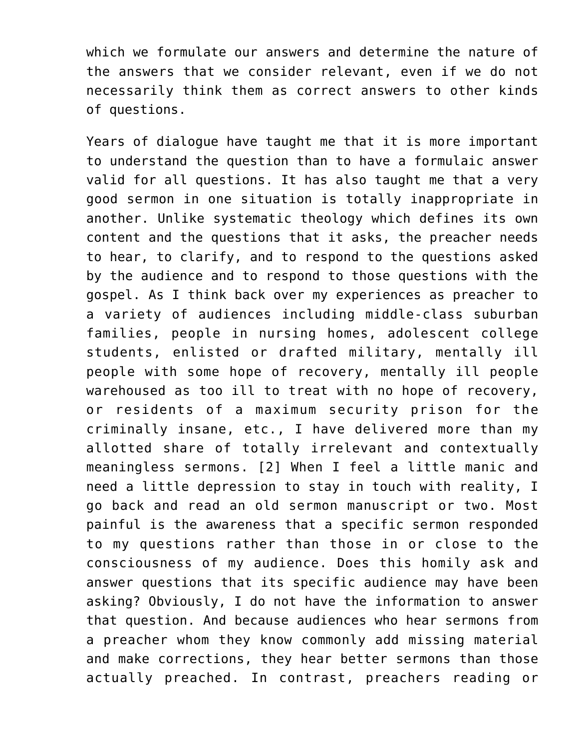which we formulate our answers and determine the nature of the answers that we consider relevant, even if we do not necessarily think them as correct answers to other kinds of questions.

Years of dialogue have taught me that it is more important to understand the question than to have a formulaic answer valid for all questions. It has also taught me that a very good sermon in one situation is totally inappropriate in another. Unlike systematic theology which defines its own content and the questions that it asks, the preacher needs to hear, to clarify, and to respond to the questions asked by the audience and to respond to those questions with the gospel. As I think back over my experiences as preacher to a variety of audiences including middle-class suburban families, people in nursing homes, adolescent college students, enlisted or drafted military, mentally ill people with some hope of recovery, mentally ill people warehoused as too ill to treat with no hope of recovery, or residents of a maximum security prison for the criminally insane, etc., I have delivered more than my allotted share of totally irrelevant and contextually meaningless sermons. [2] When I feel a little manic and need a little depression to stay in touch with reality, I go back and read an old sermon manuscript or two. Most painful is the awareness that a specific sermon responded to my questions rather than those in or close to the consciousness of my audience. Does this homily ask and answer questions that its specific audience may have been asking? Obviously, I do not have the information to answer that question. And because audiences who hear sermons from a preacher whom they know commonly add missing material and make corrections, they hear better sermons than those actually preached. In contrast, preachers reading or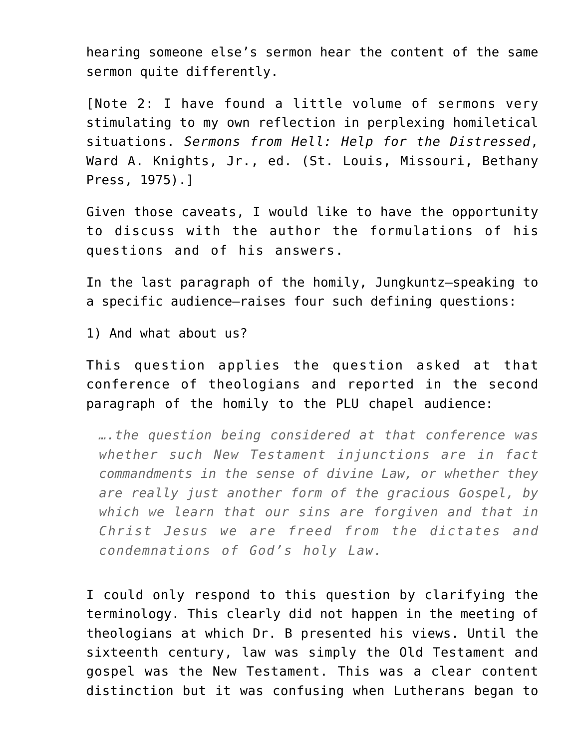hearing someone else's sermon hear the content of the same sermon quite differently.

[Note 2: I have found a little volume of sermons very stimulating to my own reflection in perplexing homiletical situations. *Sermons from Hell: Help for the Distressed*, Ward A. Knights, Jr., ed. (St. Louis, Missouri, Bethany Press, 1975).]

Given those caveats, I would like to have the opportunity to discuss with the author the formulations of his questions and of his answers.

In the last paragraph of the homily, Jungkuntz—speaking to a specific audience—raises four such defining questions:

1) And what about us?

This question applies the question asked at that conference of theologians and reported in the second paragraph of the homily to the PLU chapel audience:

*….the question being considered at that conference was whether such New Testament injunctions are in fact commandments in the sense of divine Law, or whether they are really just another form of the gracious Gospel, by which we learn that our sins are forgiven and that in Christ Jesus we are freed from the dictates and condemnations of God's holy Law.*

I could only respond to this question by clarifying the terminology. This clearly did not happen in the meeting of theologians at which Dr. B presented his views. Until the sixteenth century, law was simply the Old Testament and gospel was the New Testament. This was a clear content distinction but it was confusing when Lutherans began to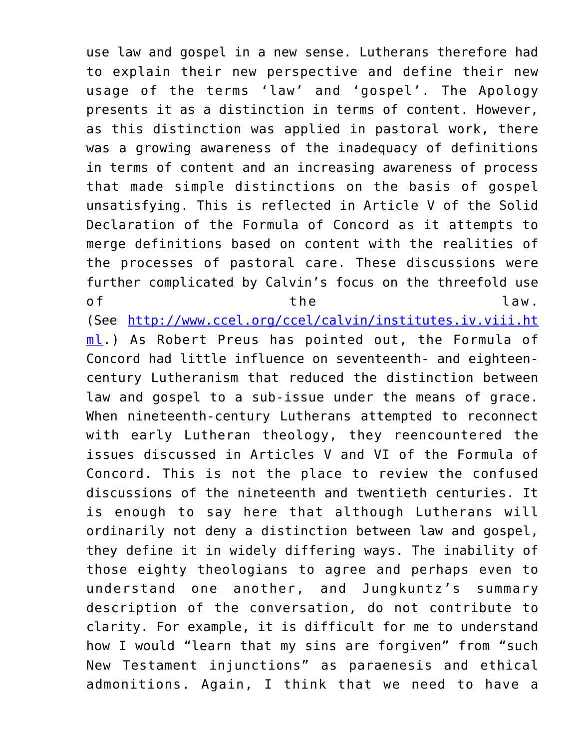use law and gospel in a new sense. Lutherans therefore had to explain their new perspective and define their new usage of the terms 'law' and 'gospel'. The Apology presents it as a distinction in terms of content. However, as this distinction was applied in pastoral work, there was a growing awareness of the inadequacy of definitions in terms of content and an increasing awareness of process that made simple distinctions on the basis of gospel unsatisfying. This is reflected in Article V of the Solid Declaration of the Formula of Concord as it attempts to merge definitions based on content with the realities of the processes of pastoral care. These discussions were further complicated by Calvin's focus on the threefold use of the the law.

(See [http://www.ccel.org/ccel/calvin/institutes.iv.viii.ht](http://www.ccel.org/ccel/calvin/institutes.iv.viii.html) [ml](http://www.ccel.org/ccel/calvin/institutes.iv.viii.html).) As Robert Preus has pointed out, the Formula of Concord had little influence on seventeenth- and eighteencentury Lutheranism that reduced the distinction between law and gospel to a sub-issue under the means of grace. When nineteenth-century Lutherans attempted to reconnect with early Lutheran theology, they reencountered the issues discussed in Articles V and VI of the Formula of Concord. This is not the place to review the confused discussions of the nineteenth and twentieth centuries. It is enough to say here that although Lutherans will ordinarily not deny a distinction between law and gospel, they define it in widely differing ways. The inability of those eighty theologians to agree and perhaps even to understand one another, and Jungkuntz's summary description of the conversation, do not contribute to clarity. For example, it is difficult for me to understand how I would "learn that my sins are forgiven" from "such New Testament injunctions" as paraenesis and ethical admonitions. Again, I think that we need to have a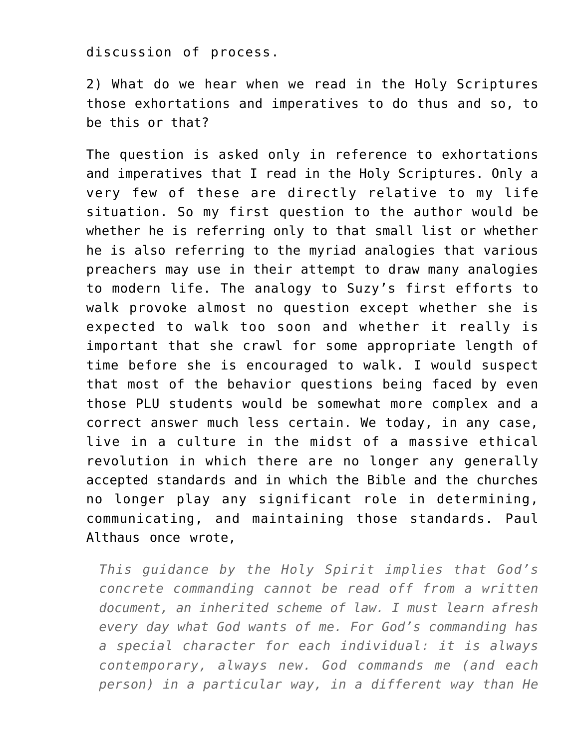discussion of process.

2) What do we hear when we read in the Holy Scriptures those exhortations and imperatives to do thus and so, to be this or that?

The question is asked only in reference to exhortations and imperatives that I read in the Holy Scriptures. Only a very few of these are directly relative to my life situation. So my first question to the author would be whether he is referring only to that small list or whether he is also referring to the myriad analogies that various preachers may use in their attempt to draw many analogies to modern life. The analogy to Suzy's first efforts to walk provoke almost no question except whether she is expected to walk too soon and whether it really is important that she crawl for some appropriate length of time before she is encouraged to walk. I would suspect that most of the behavior questions being faced by even those PLU students would be somewhat more complex and a correct answer much less certain. We today, in any case, live in a culture in the midst of a massive ethical revolution in which there are no longer any generally accepted standards and in which the Bible and the churches no longer play any significant role in determining, communicating, and maintaining those standards. Paul Althaus once wrote,

*This guidance by the Holy Spirit implies that God's concrete commanding cannot be read off from a written document, an inherited scheme of law. I must learn afresh every day what God wants of me. For God's commanding has a special character for each individual: it is always contemporary, always new. God commands me (and each person) in a particular way, in a different way than He*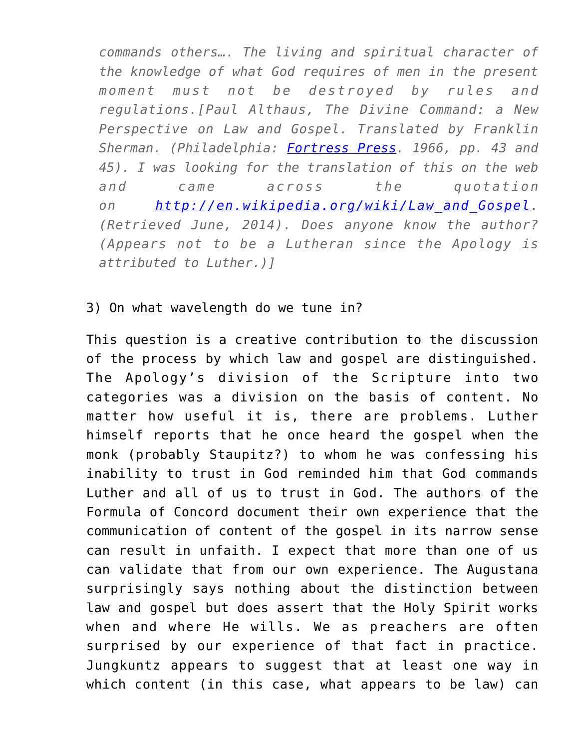*commands others…. The living and spiritual character of the knowledge of what God requires of men in the present moment must not be destroyed by rules and regulations.[Paul Althaus, The Divine Command: a New Perspective on Law and Gospel. Translated by Franklin Sherman. (Philadelphia: [Fortress Press](http://en.wikipedia.org/wiki/Fortress_Press). 1966, pp. 43 and 45). I was looking for the translation of this on the web and came across the quotation on [http://en.wikipedia.org/wiki/Law\\_and\\_Gospel](http://en.wikipedia.org/wiki/Law_and_Gospel). (Retrieved June, 2014). Does anyone know the author? (Appears not to be a Lutheran since the Apology is attributed to Luther.)]*

## 3) On what wavelength do we tune in?

This question is a creative contribution to the discussion of the process by which law and gospel are distinguished. The Apology's division of the Scripture into two categories was a division on the basis of content. No matter how useful it is, there are problems. Luther himself reports that he once heard the gospel when the monk (probably Staupitz?) to whom he was confessing his inability to trust in God reminded him that God commands Luther and all of us to trust in God. The authors of the Formula of Concord document their own experience that the communication of content of the gospel in its narrow sense can result in unfaith. I expect that more than one of us can validate that from our own experience. The Augustana surprisingly says nothing about the distinction between law and gospel but does assert that the Holy Spirit works when and where He wills. We as preachers are often surprised by our experience of that fact in practice. Jungkuntz appears to suggest that at least one way in which content (in this case, what appears to be law) can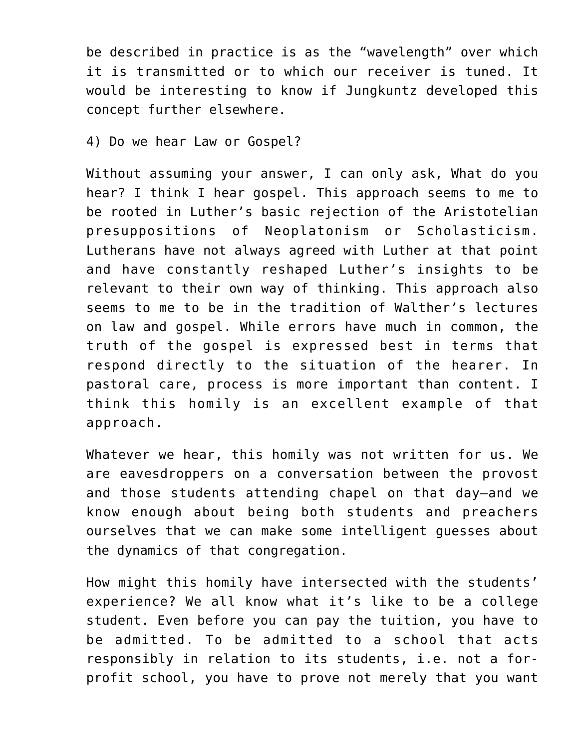be described in practice is as the "wavelength" over which it is transmitted or to which our receiver is tuned. It would be interesting to know if Jungkuntz developed this concept further elsewhere.

4) Do we hear Law or Gospel?

Without assuming your answer, I can only ask, What do you hear? I think I hear gospel. This approach seems to me to be rooted in Luther's basic rejection of the Aristotelian presuppositions of Neoplatonism or Scholasticism. Lutherans have not always agreed with Luther at that point and have constantly reshaped Luther's insights to be relevant to their own way of thinking. This approach also seems to me to be in the tradition of Walther's lectures on law and gospel. While errors have much in common, the truth of the gospel is expressed best in terms that respond directly to the situation of the hearer. In pastoral care, process is more important than content. I think this homily is an excellent example of that approach.

Whatever we hear, this homily was not written for us. We are eavesdroppers on a conversation between the provost and those students attending chapel on that day—and we know enough about being both students and preachers ourselves that we can make some intelligent guesses about the dynamics of that congregation.

How might this homily have intersected with the students' experience? We all know what it's like to be a college student. Even before you can pay the tuition, you have to be admitted. To be admitted to a school that acts responsibly in relation to its students, i.e. not a forprofit school, you have to prove not merely that you want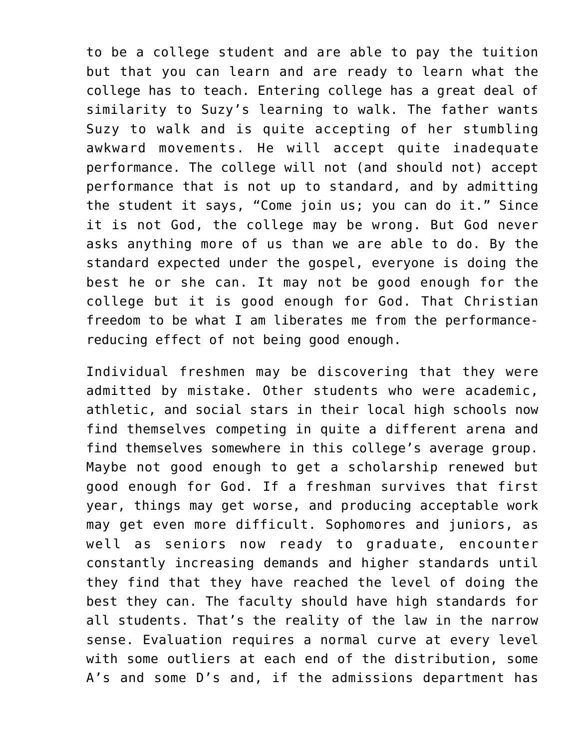to be a college student and are able to pay the tuition but that you can learn and are ready to learn what the college has to teach. Entering college has a great deal of similarity to Suzy's learning to walk. The father wants Suzy to walk and is quite accepting of her stumbling awkward movements. He will accept quite inadequate performance. The college will not (and should not) accept performance that is not up to standard, and by admitting the student it says, "Come join us; you can do it." Since it is not God, the college may be wrong. But God never asks anything more of us than we are able to do. By the standard expected under the gospel, everyone is doing the best he or she can. It may not be good enough for the college but it is good enough for God. That Christian freedom to be what I am liberates me from the performancereducing effect of not being good enough.

Individual freshmen may be discovering that they were admitted by mistake. Other students who were academic, athletic, and social stars in their local high schools now find themselves competing in quite a different arena and find themselves somewhere in this college's average group. Maybe not good enough to get a scholarship renewed but good enough for God. If a freshman survives that first year, things may get worse, and producing acceptable work may get even more difficult. Sophomores and juniors, as well as seniors now ready to graduate, encounter constantly increasing demands and higher standards until they find that they have reached the level of doing the best they can. The faculty should have high standards for all students. That's the reality of the law in the narrow sense. Evaluation requires a normal curve at every level with some outliers at each end of the distribution, some A's and some D's and, if the admissions department has